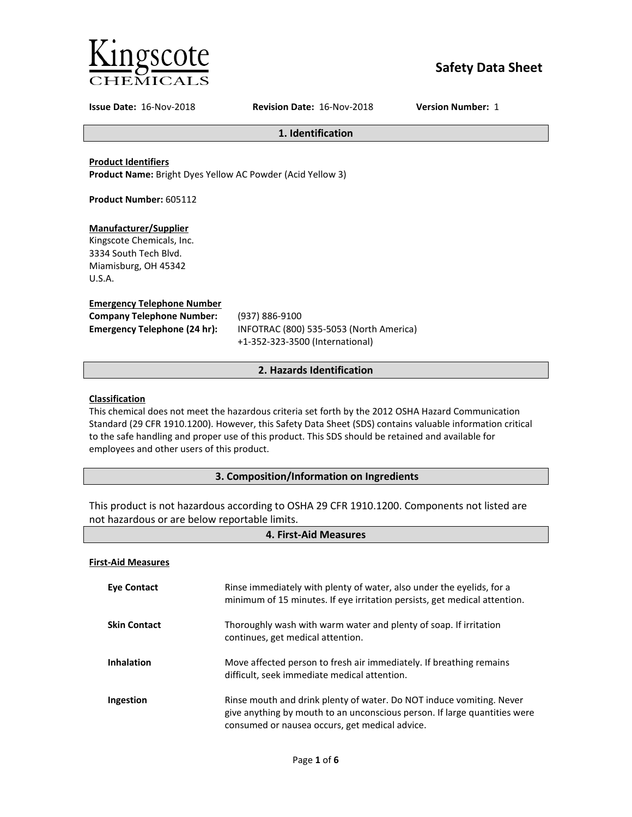

# **Safety Data Sheet**

**Issue Date:** 16-Nov-2018 **Revision Date:** 16-Nov-2018 **Version Number:** 1

### **1. Identification**

### **Product Identifiers**

**Product Name:** Bright Dyes Yellow AC Powder (Acid Yellow 3)

**Product Number:** 605112

### **Manufacturer/Supplier**

Kingscote Chemicals, Inc. 3334 South Tech Blvd. Miamisburg, OH 45342 U.S.A.

### **Emergency Telephone Number**

| <b>Company Telephone Number:</b>    |
|-------------------------------------|
| <b>Emergency Telephone (24 hr):</b> |

**Company Telephone Number:** (937) 886-9100 **Emergency Telephone (24 hr):** INFOTRAC (800) 535-5053 (North America) +1-352-323-3500 (International)

### **2. Hazards Identification**

### **Classification**

This chemical does not meet the hazardous criteria set forth by the 2012 OSHA Hazard Communication Standard (29 CFR 1910.1200). However, this Safety Data Sheet (SDS) contains valuable information critical to the safe handling and proper use of this product. This SDS should be retained and available for employees and other users of this product.

### **3. Composition/Information on Ingredients**

This product is not hazardous according to OSHA 29 CFR 1910.1200. Components not listed are not hazardous or are below reportable limits.

| 4. First-Aid Measures     |                                                                                                                                                                                                     |
|---------------------------|-----------------------------------------------------------------------------------------------------------------------------------------------------------------------------------------------------|
| <b>First-Aid Measures</b> |                                                                                                                                                                                                     |
| <b>Eye Contact</b>        | Rinse immediately with plenty of water, also under the eyelids, for a<br>minimum of 15 minutes. If eye irritation persists, get medical attention.                                                  |
| <b>Skin Contact</b>       | Thoroughly wash with warm water and plenty of soap. If irritation<br>continues, get medical attention.                                                                                              |
| <b>Inhalation</b>         | Move affected person to fresh air immediately. If breathing remains<br>difficult, seek immediate medical attention.                                                                                 |
| Ingestion                 | Rinse mouth and drink plenty of water. Do NOT induce vomiting. Never<br>give anything by mouth to an unconscious person. If large quantities were<br>consumed or nausea occurs, get medical advice. |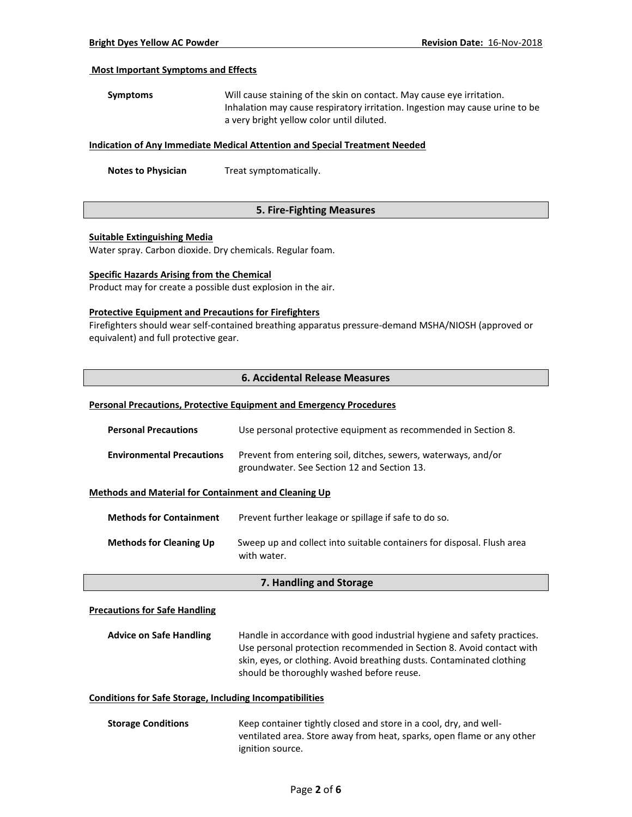#### **Most Important Symptoms and Effects**

| Symptoms | Will cause staining of the skin on contact. May cause eye irritation.        |
|----------|------------------------------------------------------------------------------|
|          | Inhalation may cause respiratory irritation. Ingestion may cause urine to be |
|          | a very bright yellow color until diluted.                                    |

#### **Indication of Any Immediate Medical Attention and Special Treatment Needed**

**Notes to Physician** Treat symptomatically.

### **5. Fire-Fighting Measures**

#### **Suitable Extinguishing Media**

Water spray. Carbon dioxide. Dry chemicals. Regular foam.

#### **Specific Hazards Arising from the Chemical**

Product may for create a possible dust explosion in the air.

#### **Protective Equipment and Precautions for Firefighters**

Firefighters should wear self-contained breathing apparatus pressure-demand MSHA/NIOSH (approved or equivalent) and full protective gear.

### **6. Accidental Release Measures**

#### **Personal Precautions, Protective Equipment and Emergency Procedures**

| <b>Personal Precautions</b>      | Use personal protective equipment as recommended in Section 8.                                                |
|----------------------------------|---------------------------------------------------------------------------------------------------------------|
| <b>Environmental Precautions</b> | Prevent from entering soil, ditches, sewers, waterways, and/or<br>groundwater. See Section 12 and Section 13. |

#### **Methods and Material for Containment and Cleaning Up**

| <b>Methods for Containment</b> | Prevent further leakage or spillage if safe to do so.                                 |
|--------------------------------|---------------------------------------------------------------------------------------|
| <b>Methods for Cleaning Up</b> | Sweep up and collect into suitable containers for disposal. Flush area<br>with water. |

#### **7. Handling and Storage**

#### **Precautions for Safe Handling**

| <b>Advice on Safe Handling</b> | Handle in accordance with good industrial hygiene and safety practices. |
|--------------------------------|-------------------------------------------------------------------------|
|                                | Use personal protection recommended in Section 8. Avoid contact with    |
|                                | skin, eyes, or clothing. Avoid breathing dusts. Contaminated clothing   |
|                                | should be thoroughly washed before reuse.                               |

### **Conditions for Safe Storage, Including Incompatibilities**

**Storage Conditions** Keep container tightly closed and store in a cool, dry, and wellventilated area. Store away from heat, sparks, open flame or any other ignition source.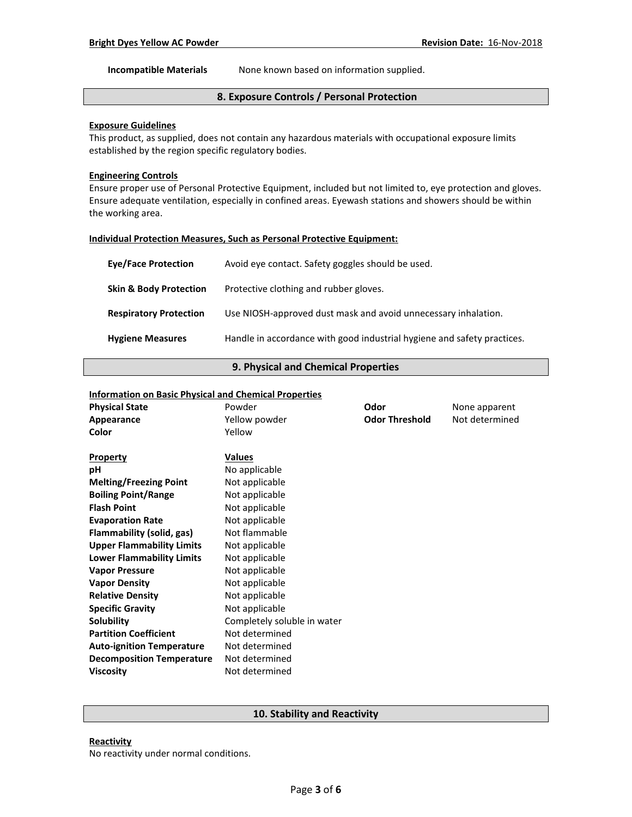**Incompatible Materials** None known based on information supplied.

# **8. Exposure Controls / Personal Protection**

# **Exposure Guidelines**

This product, as supplied, does not contain any hazardous materials with occupational exposure limits established by the region specific regulatory bodies.

### **Engineering Controls**

Ensure proper use of Personal Protective Equipment, included but not limited to, eye protection and gloves. Ensure adequate ventilation, especially in confined areas. Eyewash stations and showers should be within the working area.

#### **Individual Protection Measures, Such as Personal Protective Equipment:**

| <b>Eve/Face Protection</b>        | Avoid eye contact. Safety goggles should be used.                       |
|-----------------------------------|-------------------------------------------------------------------------|
| <b>Skin &amp; Body Protection</b> | Protective clothing and rubber gloves.                                  |
| <b>Respiratory Protection</b>     | Use NIOSH-approved dust mask and avoid unnecessary inhalation.          |
| <b>Hygiene Measures</b>           | Handle in accordance with good industrial hygiene and safety practices. |

#### **9. Physical and Chemical Properties**

### **Information on Basic Physical and Chemical Properties**

| <b>Physical State</b>            | ----- ---- ----------- - - <i>-</i> -----<br>Powder | Odor                  | None apparent  |
|----------------------------------|-----------------------------------------------------|-----------------------|----------------|
| Appearance                       | Yellow powder                                       | <b>Odor Threshold</b> | Not determined |
| Color                            | Yellow                                              |                       |                |
|                                  | <b>Values</b>                                       |                       |                |
| <b>Property</b><br>рH            |                                                     |                       |                |
|                                  | No applicable                                       |                       |                |
| <b>Melting/Freezing Point</b>    | Not applicable                                      |                       |                |
| <b>Boiling Point/Range</b>       | Not applicable                                      |                       |                |
| <b>Flash Point</b>               | Not applicable                                      |                       |                |
| <b>Evaporation Rate</b>          | Not applicable                                      |                       |                |
| <b>Flammability (solid, gas)</b> | Not flammable                                       |                       |                |
| <b>Upper Flammability Limits</b> | Not applicable                                      |                       |                |
| <b>Lower Flammability Limits</b> | Not applicable                                      |                       |                |
| <b>Vapor Pressure</b>            | Not applicable                                      |                       |                |
| <b>Vapor Density</b>             | Not applicable                                      |                       |                |
| <b>Relative Density</b>          | Not applicable                                      |                       |                |
| <b>Specific Gravity</b>          | Not applicable                                      |                       |                |
| Solubility                       | Completely soluble in water                         |                       |                |
| <b>Partition Coefficient</b>     | Not determined                                      |                       |                |
| <b>Auto-ignition Temperature</b> | Not determined                                      |                       |                |
| <b>Decomposition Temperature</b> | Not determined                                      |                       |                |
| <b>Viscosity</b>                 | Not determined                                      |                       |                |
|                                  |                                                     |                       |                |

### **10. Stability and Reactivity**

### **Reactivity**

No reactivity under normal conditions.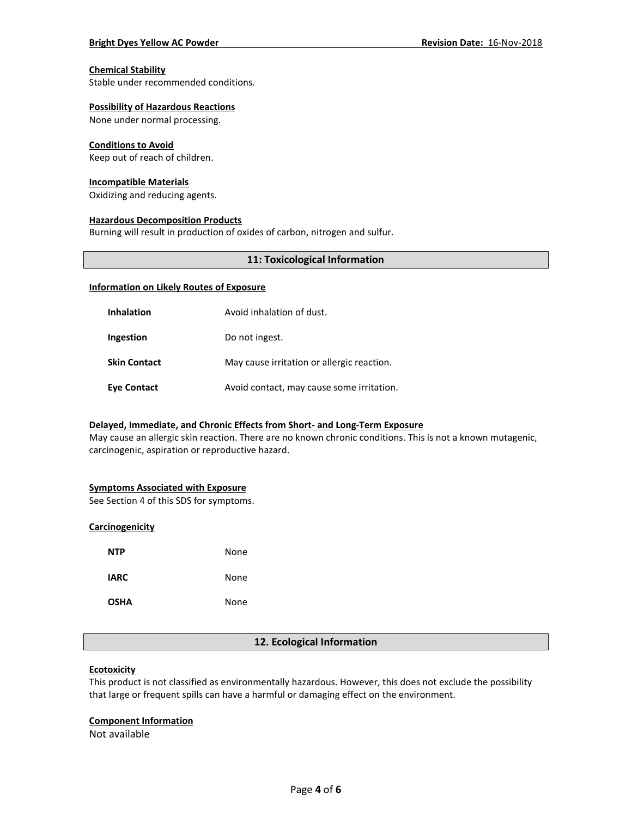#### **Chemical Stability**

Stable under recommended conditions.

#### **Possibility of Hazardous Reactions**

None under normal processing.

#### **Conditions to Avoid**

Keep out of reach of children.

#### **Incompatible Materials**

Oxidizing and reducing agents.

#### **Hazardous Decomposition Products**

Burning will result in production of oxides of carbon, nitrogen and sulfur.

### **11: Toxicological Information**

#### **Information on Likely Routes of Exposure**

| <b>Inhalation</b>   | Avoid inhalation of dust.                  |
|---------------------|--------------------------------------------|
| Ingestion           | Do not ingest.                             |
| <b>Skin Contact</b> | May cause irritation or allergic reaction. |
| <b>Eye Contact</b>  | Avoid contact, may cause some irritation.  |

### **Delayed, Immediate, and Chronic Effects from Short- and Long-Term Exposure**

May cause an allergic skin reaction. There are no known chronic conditions. This is not a known mutagenic, carcinogenic, aspiration or reproductive hazard.

#### **Symptoms Associated with Exposure**

See Section 4 of this SDS for symptoms.

### **Carcinogenicity**

| NTP         | None |
|-------------|------|
| <b>IARC</b> | None |
| <b>OSHA</b> | None |

#### **12. Ecological Information**

### **Ecotoxicity**

This product is not classified as environmentally hazardous. However, this does not exclude the possibility that large or frequent spills can have a harmful or damaging effect on the environment.

#### **Component Information**

Not available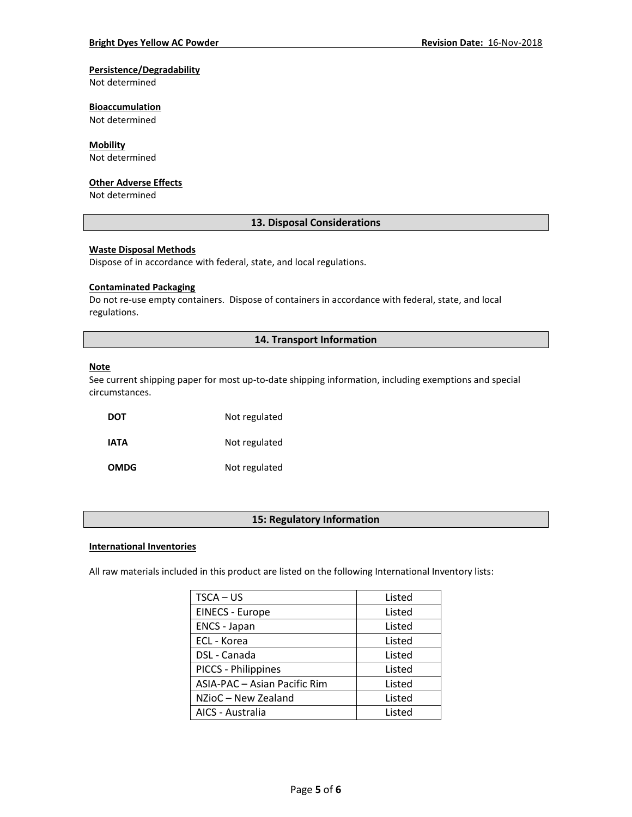### **Persistence/Degradability**

Not determined

### **Bioaccumulation**

Not determined

### **Mobility**

Not determined

#### **Other Adverse Effects**

Not determined

# **13. Disposal Considerations**

#### **Waste Disposal Methods**

Dispose of in accordance with federal, state, and local regulations.

#### **Contaminated Packaging**

Do not re-use empty containers.Dispose of containers in accordance with federal, state, and local regulations.

# **14. Transport Information**

#### **Note**

See current shipping paper for most up-to-date shipping information, including exemptions and special circumstances.

**DOT** Not regulated **IATA** Not regulated **OMDG** Not regulated

### **15: Regulatory Information**

#### **International Inventories**

All raw materials included in this product are listed on the following International Inventory lists:

| TSCA – US                    | Listed |
|------------------------------|--------|
| <b>EINECS - Europe</b>       | Listed |
| <b>ENCS - Japan</b>          | Listed |
| ECL - Korea                  | Listed |
| DSL - Canada                 | Listed |
| PICCS - Philippines          | Listed |
| ASIA-PAC - Asian Pacific Rim | Listed |
| NZioC - New Zealand          | Listed |
| AICS - Australia             | Listed |